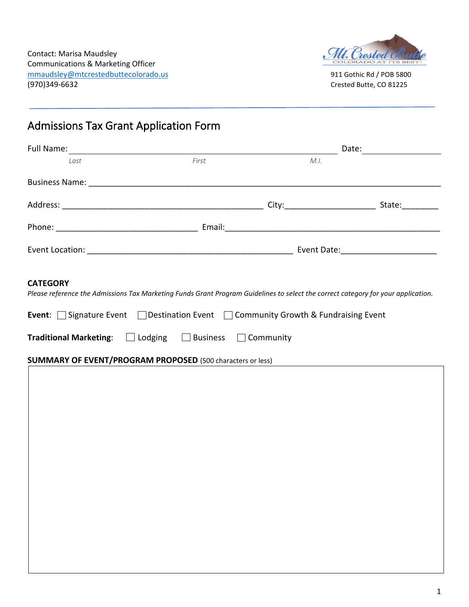

# Admissions Tax Grant Application Form

| <b>Full Name:</b> |       | Date:                         |        |  |
|-------------------|-------|-------------------------------|--------|--|
| Last              | First | M.I.                          |        |  |
|                   |       |                               |        |  |
|                   |       |                               | State: |  |
|                   |       |                               |        |  |
|                   |       | Event Date: <u>__________</u> |        |  |

#### **CATEGORY**

*Please reference the Admissions Tax Marketing Funds Grant Program Guidelines to select the correct category for your application.*

|                                                                               |  | <b>Event:</b> Signature Event Destination Event Community Growth & Fundraising Event |
|-------------------------------------------------------------------------------|--|--------------------------------------------------------------------------------------|
| <b>Traditional Marketing:</b> $\Box$ Lodging $\Box$ Business $\Box$ Community |  |                                                                                      |

## **SUMMARY OF EVENT/PROGRAM PROPOSED** (500 characters or less)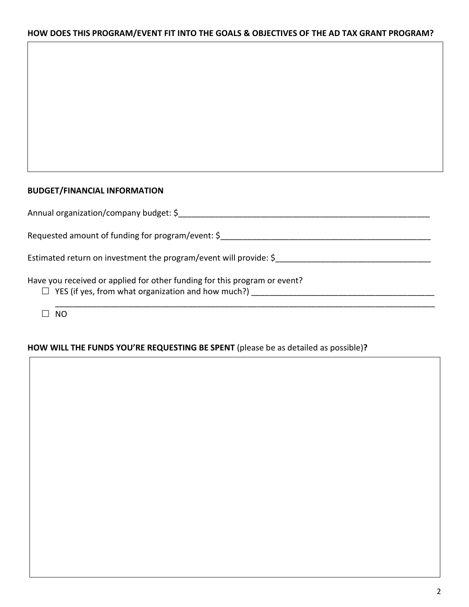# **HOW DOES THIS PROGRAM/EVENT FIT INTO THE GOALS & OBJECTIVES OF THE AD TAX GRANT PROGRAM?**

#### **BUDGET/FINANCIAL INFORMATION**

| Annual organization/company budget: \$                                                                                                 |
|----------------------------------------------------------------------------------------------------------------------------------------|
| Requested amount of funding for program/event: \$                                                                                      |
| Estimated return on investment the program/event will provide: \$                                                                      |
| Have you received or applied for other funding for this program or event?<br>$\Box$ YES (if yes, from what organization and how much?) |
|                                                                                                                                        |

# **HOW WILL THE FUNDS YOU'RE REQUESTING BE SPENT** (please be as detailed as possible)**?**